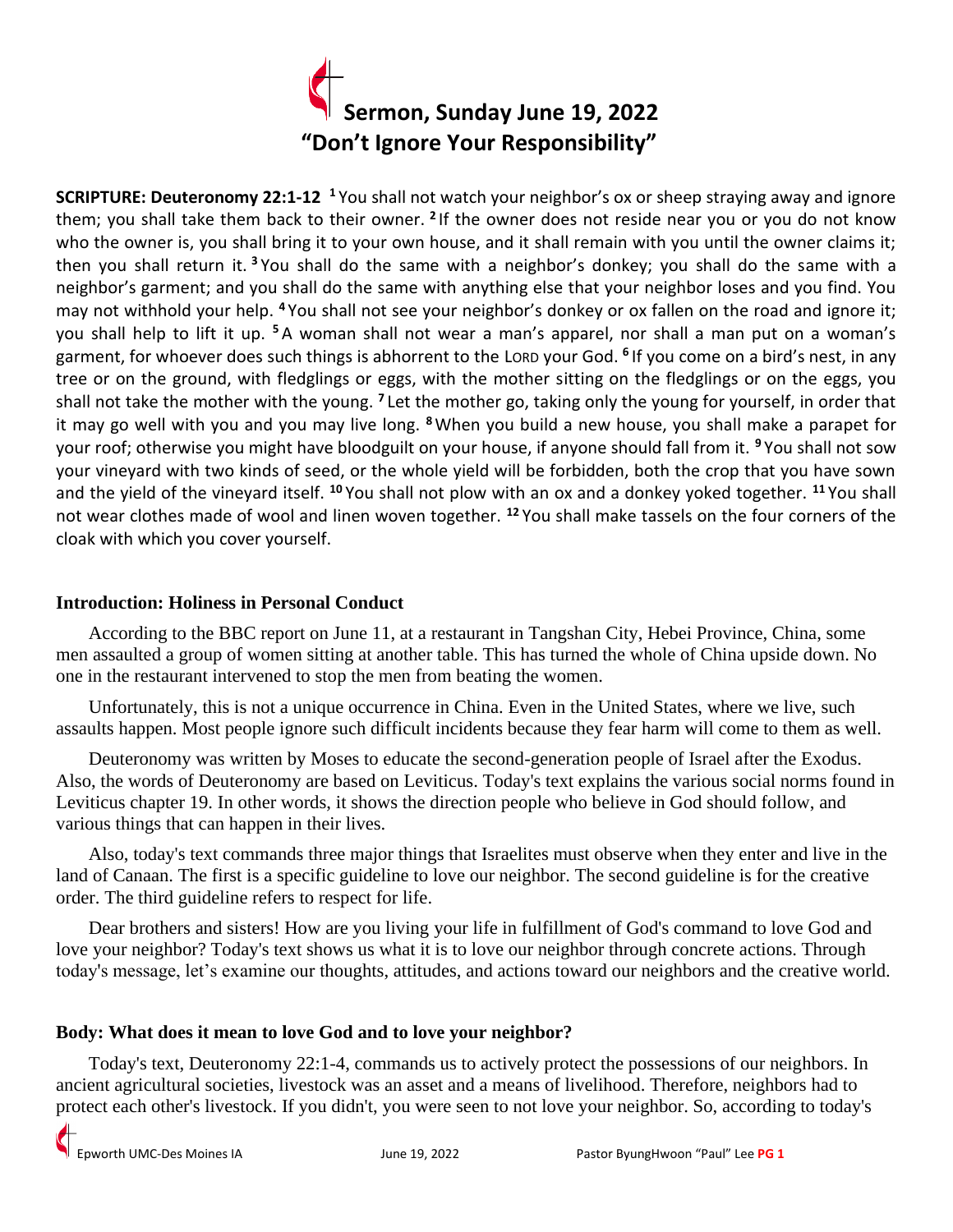

**SCRIPTURE: Deuteronomy 22:1-12 <sup>1</sup>** You shall not watch your neighbor's ox or sheep straying away and ignore them; you shall take them back to their owner. <sup>2</sup> If the owner does not reside near you or you do not know who the owner is, you shall bring it to your own house, and it shall remain with you until the owner claims it; then you shall return it. **<sup>3</sup>** You shall do the same with a neighbor's donkey; you shall do the same with a neighbor's garment; and you shall do the same with anything else that your neighbor loses and you find. You may not withhold your help. **<sup>4</sup>** You shall not see your neighbor's donkey or ox fallen on the road and ignore it; you shall help to lift it up. **<sup>5</sup>** A woman shall not wear a man's apparel, nor shall a man put on a woman's garment, for whoever does such things is abhorrent to the LORD your God. **<sup>6</sup>** If you come on a bird's nest, in any tree or on the ground, with fledglings or eggs, with the mother sitting on the fledglings or on the eggs, you shall not take the mother with the young. <sup>7</sup> Let the mother go, taking only the young for yourself, in order that it may go well with you and you may live long. **<sup>8</sup>**When you build a new house, you shall make a parapet for your roof; otherwise you might have bloodguilt on your house, if anyone should fall from it. **<sup>9</sup>** You shall not sow your vineyard with two kinds of seed, or the whole yield will be forbidden, both the crop that you have sown and the yield of the vineyard itself. **<sup>10</sup>** You shall not plow with an ox and a donkey yoked together. **<sup>11</sup>** You shall not wear clothes made of wool and linen woven together. **<sup>12</sup>** You shall make tassels on the four corners of the cloak with which you cover yourself.

## **Introduction: Holiness in Personal Conduct**

 According to the BBC report on June 11, at a restaurant in Tangshan City, Hebei Province, China, some men assaulted a group of women sitting at another table. This has turned the whole of China upside down. No one in the restaurant intervened to stop the men from beating the women.

 Unfortunately, this is not a unique occurrence in China. Even in the United States, where we live, such assaults happen. Most people ignore such difficult incidents because they fear harm will come to them as well.

 Deuteronomy was written by Moses to educate the second-generation people of Israel after the Exodus. Also, the words of Deuteronomy are based on Leviticus. Today's text explains the various social norms found in Leviticus chapter 19. In other words, it shows the direction people who believe in God should follow, and various things that can happen in their lives.

 Also, today's text commands three major things that Israelites must observe when they enter and live in the land of Canaan. The first is a specific guideline to love our neighbor. The second guideline is for the creative order. The third guideline refers to respect for life.

 Dear brothers and sisters! How are you living your life in fulfillment of God's command to love God and love your neighbor? Today's text shows us what it is to love our neighbor through concrete actions. Through today's message, let's examine our thoughts, attitudes, and actions toward our neighbors and the creative world.

## **Body: What does it mean to love God and to love your neighbor?**

 Today's text, Deuteronomy 22:1-4, commands us to actively protect the possessions of our neighbors. In ancient agricultural societies, livestock was an asset and a means of livelihood. Therefore, neighbors had to protect each other's livestock. If you didn't, you were seen to not love your neighbor. So, according to today's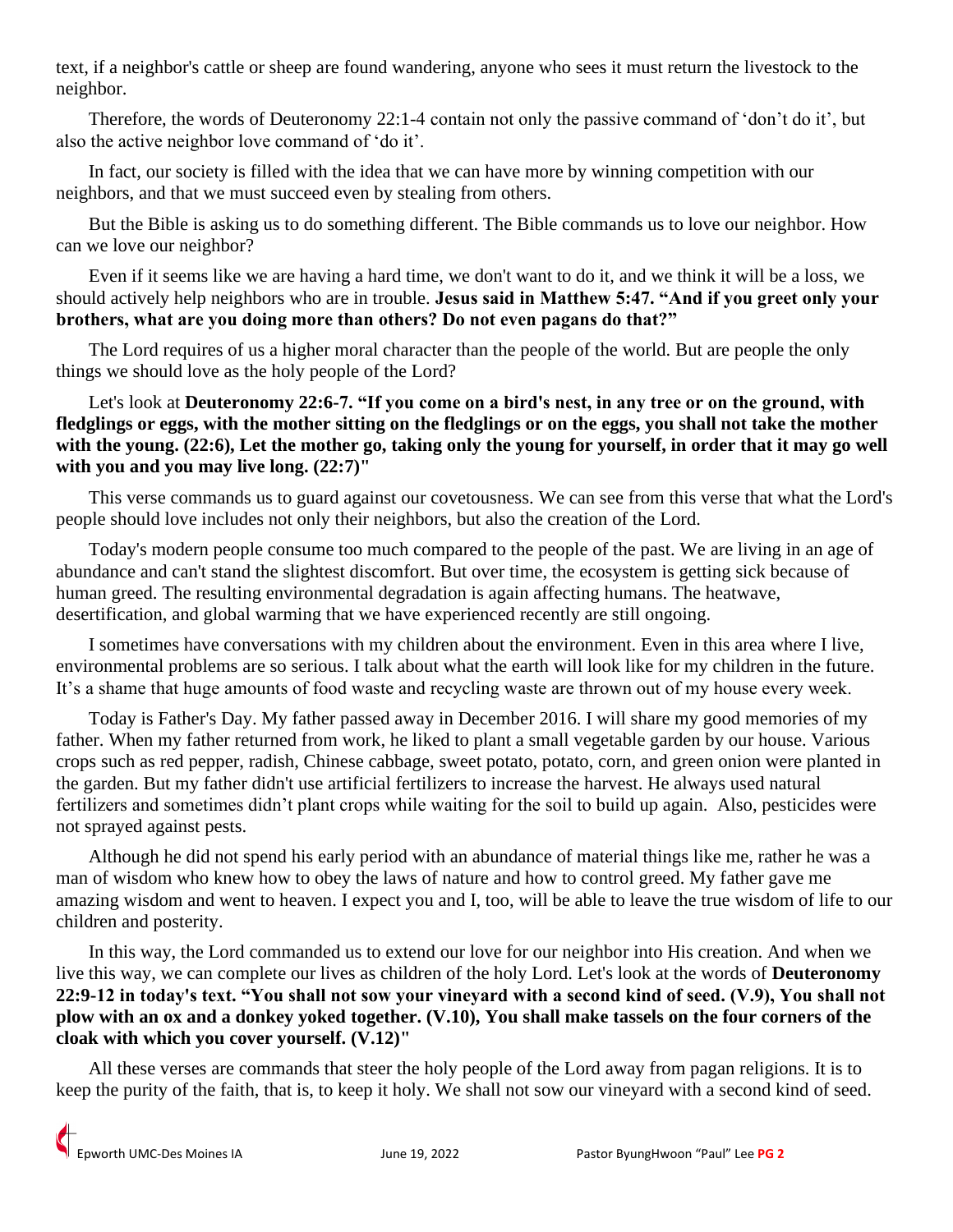text, if a neighbor's cattle or sheep are found wandering, anyone who sees it must return the livestock to the neighbor.

 Therefore, the words of Deuteronomy 22:1-4 contain not only the passive command of 'don't do it', but also the active neighbor love command of 'do it'.

 In fact, our society is filled with the idea that we can have more by winning competition with our neighbors, and that we must succeed even by stealing from others.

 But the Bible is asking us to do something different. The Bible commands us to love our neighbor. How can we love our neighbor?

 Even if it seems like we are having a hard time, we don't want to do it, and we think it will be a loss, we should actively help neighbors who are in trouble. **Jesus said in Matthew 5:47. "And if you greet only your brothers, what are you doing more than others? Do not even pagans do that?"**

 The Lord requires of us a higher moral character than the people of the world. But are people the only things we should love as the holy people of the Lord?

Let's look at **Deuteronomy 22:6-7. "If you come on a bird's nest, in any tree or on the ground, with fledglings or eggs, with the mother sitting on the fledglings or on the eggs, you shall not take the mother**  with the young. (22:6), Let the mother go, taking only the young for yourself, in order that it may go well **with you and you may live long. (22:7)"**

 This verse commands us to guard against our covetousness. We can see from this verse that what the Lord's people should love includes not only their neighbors, but also the creation of the Lord.

 Today's modern people consume too much compared to the people of the past. We are living in an age of abundance and can't stand the slightest discomfort. But over time, the ecosystem is getting sick because of human greed. The resulting environmental degradation is again affecting humans. The heatwave, desertification, and global warming that we have experienced recently are still ongoing.

 I sometimes have conversations with my children about the environment. Even in this area where I live, environmental problems are so serious. I talk about what the earth will look like for my children in the future. It's a shame that huge amounts of food waste and recycling waste are thrown out of my house every week.

 Today is Father's Day. My father passed away in December 2016. I will share my good memories of my father. When my father returned from work, he liked to plant a small vegetable garden by our house. Various crops such as red pepper, radish, Chinese cabbage, sweet potato, potato, corn, and green onion were planted in the garden. But my father didn't use artificial fertilizers to increase the harvest. He always used natural fertilizers and sometimes didn't plant crops while waiting for the soil to build up again. Also, pesticides were not sprayed against pests.

 Although he did not spend his early period with an abundance of material things like me, rather he was a man of wisdom who knew how to obey the laws of nature and how to control greed. My father gave me amazing wisdom and went to heaven. I expect you and I, too, will be able to leave the true wisdom of life to our children and posterity.

 In this way, the Lord commanded us to extend our love for our neighbor into His creation. And when we live this way, we can complete our lives as children of the holy Lord. Let's look at the words of **Deuteronomy 22:9-12 in today's text. "You shall not sow your vineyard with a second kind of seed. (V.9), You shall not plow with an ox and a donkey yoked together. (V.10), You shall make tassels on the four corners of the cloak with which you cover yourself. (V.12)"**

 All these verses are commands that steer the holy people of the Lord away from pagan religions. It is to keep the purity of the faith, that is, to keep it holy. We shall not sow our vineyard with a second kind of seed.